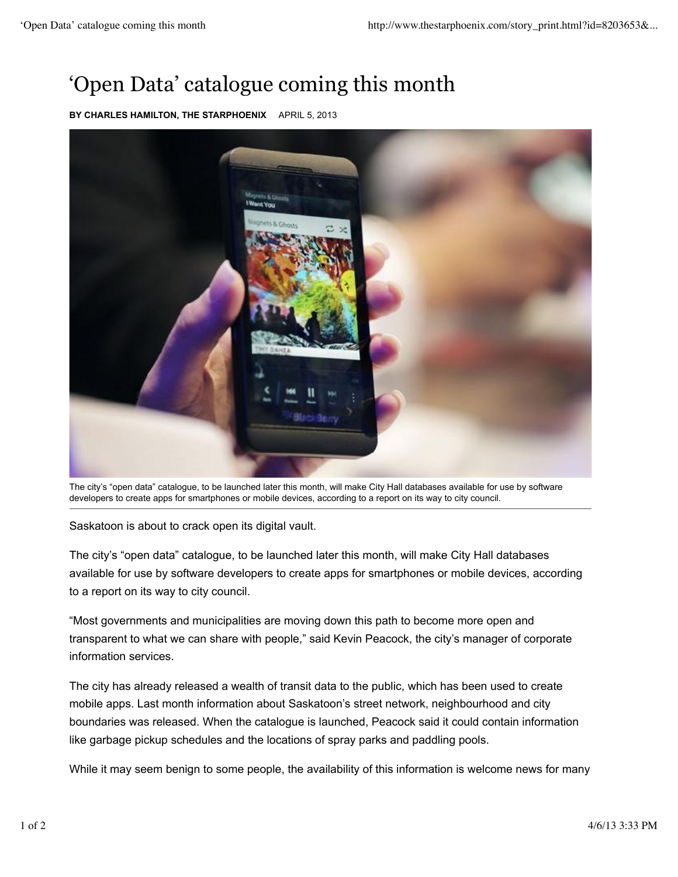## 'Open Data' catalogue coming this month

**BY CHARLES HAMILTON, THE STARPHOENIX** APRIL 5, 2013



The city's "open data" catalogue, to be launched later this month, will make City Hall databases available for use by software developers to create apps for smartphones or mobile devices, according to a report on its way to city council.

Saskatoon is about to crack open its digital vault.

The city's "open data" catalogue, to be launched later this month, will make City Hall databases available for use by software developers to create apps for smartphones or mobile devices, according to a report on its way to city council.

"Most governments and municipalities are moving down this path to become more open and transparent to what we can share with people," said Kevin Peacock, the city's manager of corporate information services.

The city has already released a wealth of transit data to the public, which has been used to create mobile apps. Last month information about Saskatoon's street network, neighbourhood and city boundaries was released. When the catalogue is launched, Peacock said it could contain information like garbage pickup schedules and the locations of spray parks and paddling pools.

While it may seem benign to some people, the availability of this information is welcome news for many